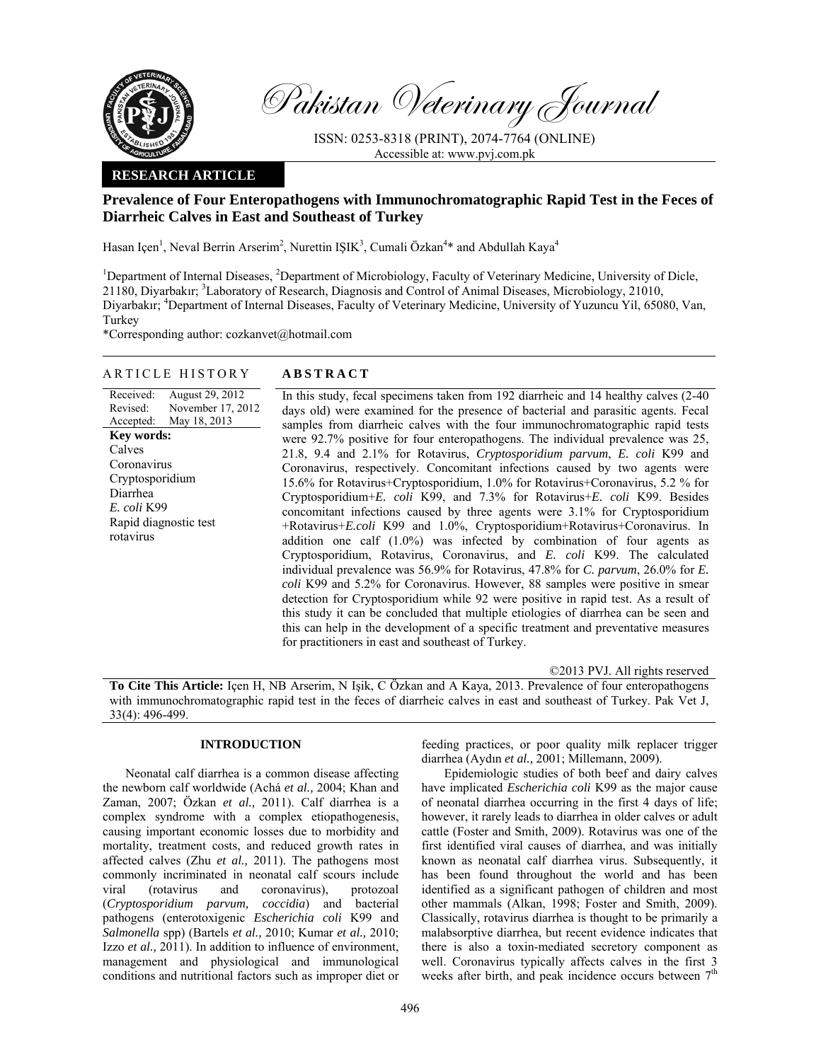

Pakistan Veterinary Journal

ISSN: 0253-8318 (PRINT), 2074-7764 (ONLINE) Accessible at: www.pvj.com.pk

## **RESEARCH ARTICLE**

# **Prevalence of Four Enteropathogens with Immunochromatographic Rapid Test in the Feces of Diarrheic Calves in East and Southeast of Turkey**

Hasan Içen<sup>1</sup>, Neval Berrin Arserim<sup>2</sup>, Nurettin IŞIK<sup>3</sup>, Cumali Özkan<sup>4</sup>\* and Abdullah Kaya<sup>4</sup>

<sup>1</sup>Department of Internal Diseases, <sup>2</sup>Department of Microbiology, Faculty of Veterinary Medicine, University of Dicle, 21180, Diyarbakır; <sup>3</sup>Laboratory of Research, Diagnosis and Control of Animal Diseases, Microbiology, 21010, Diyarbakır; <sup>4</sup>Department of Internal Diseases, Faculty of Veterinary Medicine, University of Yuzuncu Yil, 65080, Van, Turkey

\*Corresponding author: cozkanvet@hotmail.com

## ARTICLE HISTORY **ABSTRACT**

Received: Revised: Accepted: August 29, 2012 November 17, 2012 May 18, 2013 In this study, fecal specimens taken from 192 diarrheic and 14 healthy calves (2-40 days old) were examined for the presence of bacterial and parasitic agents. Fecal samples from diarrheic calves with the four immunochromatographic rapid tests were 92.7% positive for four enteropathogens. The individual prevalence was 25, 21.8, 9.4 and 2.1% for Rotavirus, *Cryptosporidium parvum*, *E. coli* K99 and Coronavirus, respectively. Concomitant infections caused by two agents were 15.6% for Rotavirus+Cryptosporidium, 1.0% for Rotavirus+Coronavirus, 5.2 % for Cryptosporidium+*E. coli* K99, and 7.3% for Rotavirus+*E. coli* K99. Besides concomitant infections caused by three agents were 3.1% for Cryptosporidium +Rotavirus+*E.coli* K99 and 1.0%, Cryptosporidium+Rotavirus+Coronavirus. In addition one calf (1.0%) was infected by combination of four agents as Cryptosporidium, Rotavirus, Coronavirus, and *E. coli* K99. The calculated individual prevalence was 56.9% for Rotavirus, 47.8% for *C. parvum*, 26.0% for *E. coli* K99 and 5.2% for Coronavirus. However, 88 samples were positive in smear detection for Cryptosporidium while 92 were positive in rapid test. As a result of this study it can be concluded that multiple etiologies of diarrhea can be seen and this can help in the development of a specific treatment and preventative measures for practitioners in east and southeast of Turkey. **Key words:**  Calves Coronavirus Cryptosporidium Diarrhea *E. coli* K99 Rapid diagnostic test rotavirus

©2013 PVJ. All rights reserved

**To Cite This Article:** Içen H, NB Arserim, N Işik, C Özkan and A Kaya, 2013. Prevalence of four enteropathogens with immunochromatographic rapid test in the feces of diarrheic calves in east and southeast of Turkey. Pak Vet J, 33(4): 496-499.

# **INTRODUCTION**

Neonatal calf diarrhea is a common disease affecting the newborn calf worldwide (Achá *et al.,* 2004; Khan and Zaman, 2007; Özkan *et al.,* 2011). Calf diarrhea is a complex syndrome with a complex etiopathogenesis, causing important economic losses due to morbidity and mortality, treatment costs, and reduced growth rates in affected calves (Zhu *et al.,* 2011). The pathogens most commonly incriminated in neonatal calf scours include viral (rotavirus and coronavirus), protozoal (*Cryptosporidium parvum, coccidia*) and bacterial pathogens (enterotoxigenic *Escherichia coli* K99 and *Salmonella* spp) (Bartels *et al.,* 2010; Kumar *et al.,* 2010; Izzo *et al.,* 2011). In addition to influence of environment, management and physiological and immunological conditions and nutritional factors such as improper diet or

feeding practices, or poor quality milk replacer trigger diarrhea (Aydın *et al.,* 2001; Millemann, 2009).

Epidemiologic studies of both beef and dairy calves have implicated *Escherichia coli* K99 as the major cause of neonatal diarrhea occurring in the first 4 days of life; however, it rarely leads to diarrhea in older calves or adult cattle (Foster and Smith, 2009). Rotavirus was one of the first identified viral causes of diarrhea, and was initially known as neonatal calf diarrhea virus. Subsequently, it has been found throughout the world and has been identified as a significant pathogen of children and most other mammals (Alkan, 1998; Foster and Smith, 2009). Classically, rotavirus diarrhea is thought to be primarily a malabsorptive diarrhea, but recent evidence indicates that there is also a toxin-mediated secretory component as well. Coronavirus typically affects calves in the first 3 weeks after birth, and peak incidence occurs between  $7<sup>th</sup>$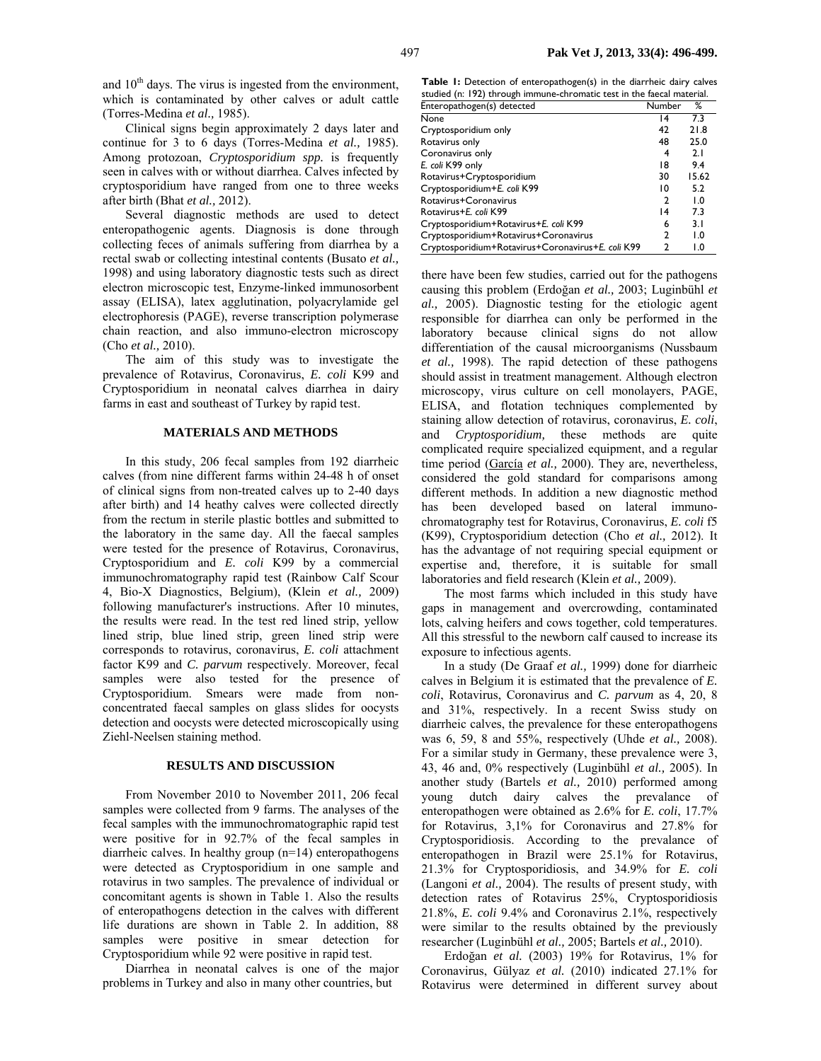and  $10<sup>th</sup>$  days. The virus is ingested from the environment, which is contaminated by other calves or adult cattle (Torres-Medina *et al.,* 1985).

Clinical signs begin approximately 2 days later and continue for 3 to 6 days (Torres-Medina *et al.,* 1985). Among protozoan, *Cryptosporidium spp.* is frequently seen in calves with or without diarrhea. Calves infected by cryptosporidium have ranged from one to three weeks after birth (Bhat *et al.,* 2012).

Several diagnostic methods are used to detect enteropathogenic agents. Diagnosis is done through collecting feces of animals suffering from diarrhea by a rectal swab or collecting intestinal contents (Busato *et al.,*  1998) and using laboratory diagnostic tests such as direct electron microscopic test, Enzyme-linked immunosorbent assay (ELISA), latex agglutination, polyacrylamide gel electrophoresis (PAGE), reverse transcription polymerase chain reaction, and also immuno-electron microscopy (Cho *et al.,* 2010).

The aim of this study was to investigate the prevalence of Rotavirus, Coronavirus, *E. coli* K99 and Cryptosporidium in neonatal calves diarrhea in dairy farms in east and southeast of Turkey by rapid test.

#### **MATERIALS AND METHODS**

In this study, 206 fecal samples from 192 diarrheic calves (from nine different farms within 24-48 h of onset of clinical signs from non-treated calves up to 2-40 days after birth) and 14 heathy calves were collected directly from the rectum in sterile plastic bottles and submitted to the laboratory in the same day. All the faecal samples were tested for the presence of Rotavirus, Coronavirus, Cryptosporidium and *E. coli* K99 by a commercial immunochromatography rapid test (Rainbow Calf Scour 4, Bio-X Diagnostics, Belgium), (Klein *et al.,* 2009) following manufacturer's instructions. After 10 minutes, the results were read. In the test red lined strip, yellow lined strip, blue lined strip, green lined strip were corresponds to rotavirus, coronavirus, *E. coli* attachment factor K99 and *C. parvum* respectively. Moreover, fecal samples were also tested for the presence of Cryptosporidium. Smears were made from nonconcentrated faecal samples on glass slides for oocysts detection and oocysts were detected microscopically using Ziehl-Neelsen staining method.

### **RESULTS AND DISCUSSION**

From November 2010 to November 2011, 206 fecal samples were collected from 9 farms. The analyses of the fecal samples with the immunochromatographic rapid test were positive for in 92.7% of the fecal samples in diarrheic calves. In healthy group (n=14) enteropathogens were detected as Cryptosporidium in one sample and rotavirus in two samples. The prevalence of individual or concomitant agents is shown in Table 1. Also the results of enteropathogens detection in the calves with different life durations are shown in Table 2. In addition, 88 samples were positive in smear detection for Cryptosporidium while 92 were positive in rapid test.

Diarrhea in neonatal calves is one of the major problems in Turkey and also in many other countries, but

**Table 1:** Detection of enteropathogen(s) in the diarrheic dairy calves studied (n: 192) through immune-chromatic test in the faecal material.

| Enteropathogen(s) detected                        | Number          | %     |
|---------------------------------------------------|-----------------|-------|
| None                                              | 14              | 73    |
| Cryptosporidium only                              | 42              | 21.8  |
| Rotavirus only                                    | 48              | 25.0  |
| Coronavirus only                                  | 4               | 2.1   |
| E. coli K99 only                                  | 18              | 9.4   |
| Rotavirus+Cryptosporidium                         | 30              | 15.62 |
| Cryptosporidium+E. coli K99                       | 10              | 5.2   |
| Rotavirus+Coronavirus                             | 2               | 1.0   |
| Rotavirus+E. coli K99                             | $\overline{14}$ | 7.3   |
| Cryptosporidium+Rotavirus+E. coli K99             | 6               | 3.1   |
| Cryptosporidium+Rotavirus+Coronavirus             | 2               | 1.0   |
| Cryptosporidium+Rotavirus+Coronavirus+E. coli K99 | 2               | 1.0   |

there have been few studies, carried out for the pathogens causing this problem (Erdoğan *et al.,* 2003; Luginbühl *et al.,* 2005). Diagnostic testing for the etiologic agent responsible for diarrhea can only be performed in the laboratory because clinical signs do not allow differentiation of the causal microorganisms (Nussbaum *et al.,* 1998). The rapid detection of these pathogens should assist in treatment management. Although electron microscopy, virus culture on cell monolayers, PAGE, ELISA, and flotation techniques complemented by staining allow detection of rotavirus, coronavirus, *E. coli*, and *Cryptosporidium,* these methods are quite complicated require specialized equipment, and a regular time period (García *et al.,* 2000). They are, nevertheless, considered the gold standard for comparisons among different methods. In addition a new diagnostic method has been developed based on lateral immunochromatography test for Rotavirus, Coronavirus, *E. coli* f5 (K99), Cryptosporidium detection (Cho *et al.,* 2012). It has the advantage of not requiring special equipment or expertise and, therefore, it is suitable for small laboratories and field research (Klein *et al.,* 2009).

The most farms which included in this study have gaps in management and overcrowding, contaminated lots, calving heifers and cows together, cold temperatures. All this stressful to the newborn calf caused to increase its exposure to infectious agents.

In a study (De Graaf *et al.,* 1999) done for diarrheic calves in Belgium it is estimated that the prevalence of *E. coli*, Rotavirus, Coronavirus and *C. parvum* as 4, 20, 8 and 31%, respectively. In a recent Swiss study on diarrheic calves, the prevalence for these enteropathogens was 6, 59, 8 and 55%, respectively (Uhde *et al.,* 2008). For a similar study in Germany, these prevalence were 3, 43, 46 and, 0% respectively (Luginbühl *et al.,* 2005). In another study (Bartels *et al.,* 2010) performed among young dutch dairy calves the prevalance of enteropathogen were obtained as 2.6% for *E. coli*, 17.7% for Rotavirus, 3,1% for Coronavirus and 27.8% for Cryptosporidiosis. According to the prevalance of enteropathogen in Brazil were 25.1% for Rotavirus, 21.3% for Cryptosporidiosis, and 34.9% for *E. coli* (Langoni *et al.,* 2004). The results of present study, with detection rates of Rotavirus 25%, Cryptosporidiosis 21.8%, *E. coli* 9.4% and Coronavirus 2.1%, respectively were similar to the results obtained by the previously researcher (Luginbühl *et al.,* 2005; Bartels *et al.,* 2010).

Erdoğan *et al.* (2003) 19% for Rotavirus, 1% for Coronavirus, Gülyaz *et al.* (2010) indicated 27.1% for Rotavirus were determined in different survey about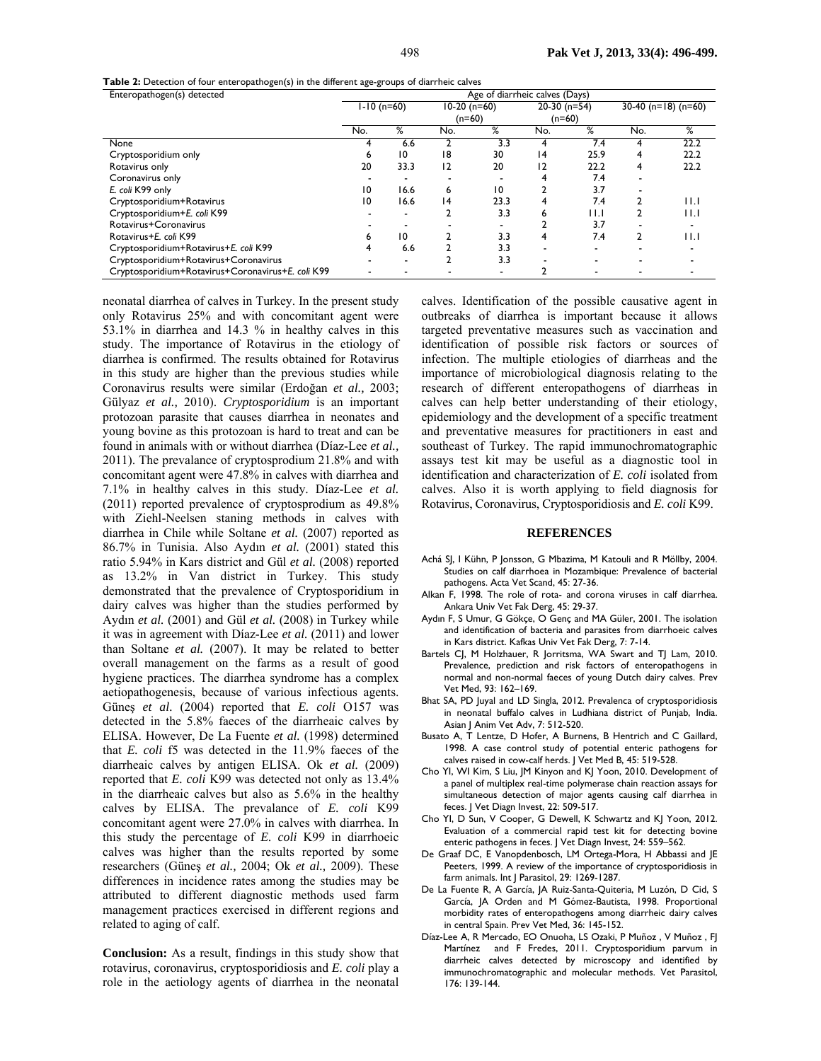**Table 2:** Detection of four enteropathogen(s) in the different age-groups of diarrheic calves

| Enteropathogen(s) detected                        | Age of diarrheic calves (Days) |                 |                |      |                |      |                             |                         |
|---------------------------------------------------|--------------------------------|-----------------|----------------|------|----------------|------|-----------------------------|-------------------------|
|                                                   | $1-10$ (n=60)                  |                 | $10-20$ (n=60) |      | $20-30$ (n=54) |      | 30-40 ( $n=18$ ) ( $n=60$ ) |                         |
|                                                   |                                |                 | $(n=60)$       |      | $(n=60)$       |      |                             |                         |
|                                                   | No.                            | %               | No.            | %    | No.            | %    | No.                         | %                       |
| None                                              | 4                              | 6.6             |                | 3.3  | 4              | 7.4  |                             | 22.2                    |
| Cryptosporidium only                              | ь                              | $\overline{10}$ | 18             | 30   | 4              | 25.9 |                             | 22.2                    |
| Rotavirus only                                    | 20                             | 33.3            | 12             | 20   | 12             | 22.2 |                             | 22.2                    |
| Coronavirus only                                  |                                |                 |                |      |                | 7.4  |                             |                         |
| E. coli K99 only                                  | 10                             | 16.6            | 6              | 10   |                | 3.7  |                             |                         |
| Cryptosporidium+Rotavirus                         | 10                             | 16.6            | ، 4            | 23.3 |                | 7.4  |                             | $  \cdot  $             |
| Cryptosporidium+E. coli K99                       |                                |                 |                | 3.3  | n              | 11.I |                             | 11.1                    |
| Rotavirus+Coronavirus                             |                                |                 |                |      |                | 3.7  |                             |                         |
| Rotavirus+E. coli K99                             | n                              | 10              |                | 3.3  |                | 7.4  |                             | $\mathsf{H}.\mathsf{I}$ |
| Cryptosporidium+Rotavirus+E. coli K99             |                                | 6.6             |                | 3.3  |                |      |                             |                         |
| Cryptosporidium+Rotavirus+Coronavirus             |                                |                 |                | 3.3  |                |      |                             |                         |
| Cryptosporidium+Rotavirus+Coronavirus+E. coli K99 |                                |                 |                |      |                |      |                             |                         |

neonatal diarrhea of calves in Turkey. In the present study only Rotavirus 25% and with concomitant agent were 53.1% in diarrhea and 14.3 % in healthy calves in this study. The importance of Rotavirus in the etiology of diarrhea is confirmed. The results obtained for Rotavirus in this study are higher than the previous studies while Coronavirus results were similar (Erdoğan *et al.,* 2003; Gülyaz *et al.,* 2010). *Cryptosporidium* is an important protozoan parasite that causes diarrhea in neonates and young bovine as this protozoan is hard to treat and can be found in animals with or without diarrhea (Díaz-Lee *et al.,* 2011). The prevalance of cryptosprodium 21.8% and with concomitant agent were 47.8% in calves with diarrhea and 7.1% in healthy calves in this study. Díaz-Lee *et al.*  (2011) reported prevalence of cryptosprodium as 49.8% with Ziehl-Neelsen staning methods in calves with diarrhea in Chile while Soltane *et al.* (2007) reported as 86.7% in Tunisia. Also Aydın *et al.* (2001) stated this ratio 5.94% in Kars district and Gül *et al.* (2008) reported as 13.2% in Van district in Turkey. This study demonstrated that the prevalence of Cryptosporidium in dairy calves was higher than the studies performed by Aydın *et al.* (2001) and Gül *et al.* (2008) in Turkey while it was in agreement with Díaz-Lee *et al.* (2011) and lower than Soltane *et al.* (2007). It may be related to better overall management on the farms as a result of good hygiene practices. The diarrhea syndrome has a complex aetiopathogenesis, because of various infectious agents. Günes *et al.* (2004) reported that *E. coli* O157 was detected in the 5.8% faeces of the diarrheaic calves by ELISA. However, De La Fuente *et al.* (1998) determined that *E. coli* f5 was detected in the 11.9% faeces of the diarrheaic calves by antigen ELISA. Ok *et al.* (2009) reported that *E. coli* K99 was detected not only as 13.4% in the diarrheaic calves but also as 5.6% in the healthy calves by ELISA. The prevalance of *E. coli* K99 concomitant agent were 27.0% in calves with diarrhea. In this study the percentage of *E. coli* K99 in diarrhoeic calves was higher than the results reported by some researchers (Güneş *et al.,* 2004; Ok *et al.,* 2009). These differences in incidence rates among the studies may be attributed to different diagnostic methods used farm management practices exercised in different regions and related to aging of calf.

**Conclusion:** As a result, findings in this study show that rotavirus, coronavirus, cryptosporidiosis and *E. coli* play a role in the aetiology agents of diarrhea in the neonatal

calves. Identification of the possible causative agent in outbreaks of diarrhea is important because it allows targeted preventative measures such as vaccination and identification of possible risk factors or sources of infection. The multiple etiologies of diarrheas and the importance of microbiological diagnosis relating to the research of different enteropathogens of diarrheas in calves can help better understanding of their etiology, epidemiology and the development of a specific treatment and preventative measures for practitioners in east and southeast of Turkey. The rapid immunochromatographic assays test kit may be useful as a diagnostic tool in identification and characterization of *E. coli* isolated from calves. Also it is worth applying to field diagnosis for Rotavirus, Coronavirus, Cryptosporidiosis and *E. coli* K99.

#### **REFERENCES**

- Achá SJ, I Kühn, P Jonsson, G Mbazima, M Katouli and R Möllby, 2004. Studies on calf diarrhoea in Mozambique: Prevalence of bacterial pathogens. Acta Vet Scand, 45: 27-36.
- Alkan F, 1998. The role of rota- and corona viruses in calf diarrhea. Ankara Univ Vet Fak Derg, 45: 29-37.
- Aydın F, S Umur, G Gökçe, O Genç and MA Güler, 2001. The isolation and identification of bacteria and parasites from diarrhoeic calves in Kars district. Kafkas Univ Vet Fak Derg, 7: 7-14.
- Bartels CJ, M Holzhauer, R Jorritsma, WA Swart and TJ Lam, 2010. Prevalence, prediction and risk factors of enteropathogens in normal and non-normal faeces of young Dutch dairy calves. Prev Vet Med, 93: 162–169.
- Bhat SA, PD Juyal and LD Singla, 2012. Prevalenca of cryptosporidiosis in neonatal buffalo calves in Ludhiana district of Punjab, India. Asian J Anim Vet Adv, 7: 512-520.
- Busato A, T Lentze, D Hofer, A Burnens, B Hentrich and C Gaillard, 1998. A case control study of potential enteric pathogens for calves raised in cow-calf herds. J Vet Med B, 45: 519-528.
- Cho YI, WI Kim, S Liu, JM Kinyon and KJ Yoon, 2010. Development of a panel of multiplex real-time polymerase chain reaction assays for simultaneous detection of major agents causing calf diarrhea in feces. J Vet Diagn Invest, 22: 509-517.
- Cho YI, D Sun, V Cooper, G Dewell, K Schwartz and KJ Yoon, 2012. Evaluation of a commercial rapid test kit for detecting bovine enteric pathogens in feces. J Vet Diagn Invest, 24: 559–562.
- De Graaf DC, E Vanopdenbosch, LM Ortega-Mora, H Abbassi and JE Peeters, 1999. A review of the importance of cryptosporidiosis in farm animals. Int J Parasitol, 29: 1269-1287.
- De La Fuente R, A García, JA Ruiz-Santa-Quiteria, M Luzón, D Cid, S García, JA Orden and M Gómez-Bautista, 1998. Proportional morbidity rates of enteropathogens among diarrheic dairy calves in central Spain. Prev Vet Med, 36: 145-152.
- Díaz-Lee A, R Mercado, EO Onuoha, LS Ozaki, P Muñoz , V Muñoz , FJ Martínez and F Fredes, 2011. Cryptosporidium parvum in diarrheic calves detected by microscopy and identified by immunochromatographic and molecular methods. Vet Parasitol, 176: 139-144.